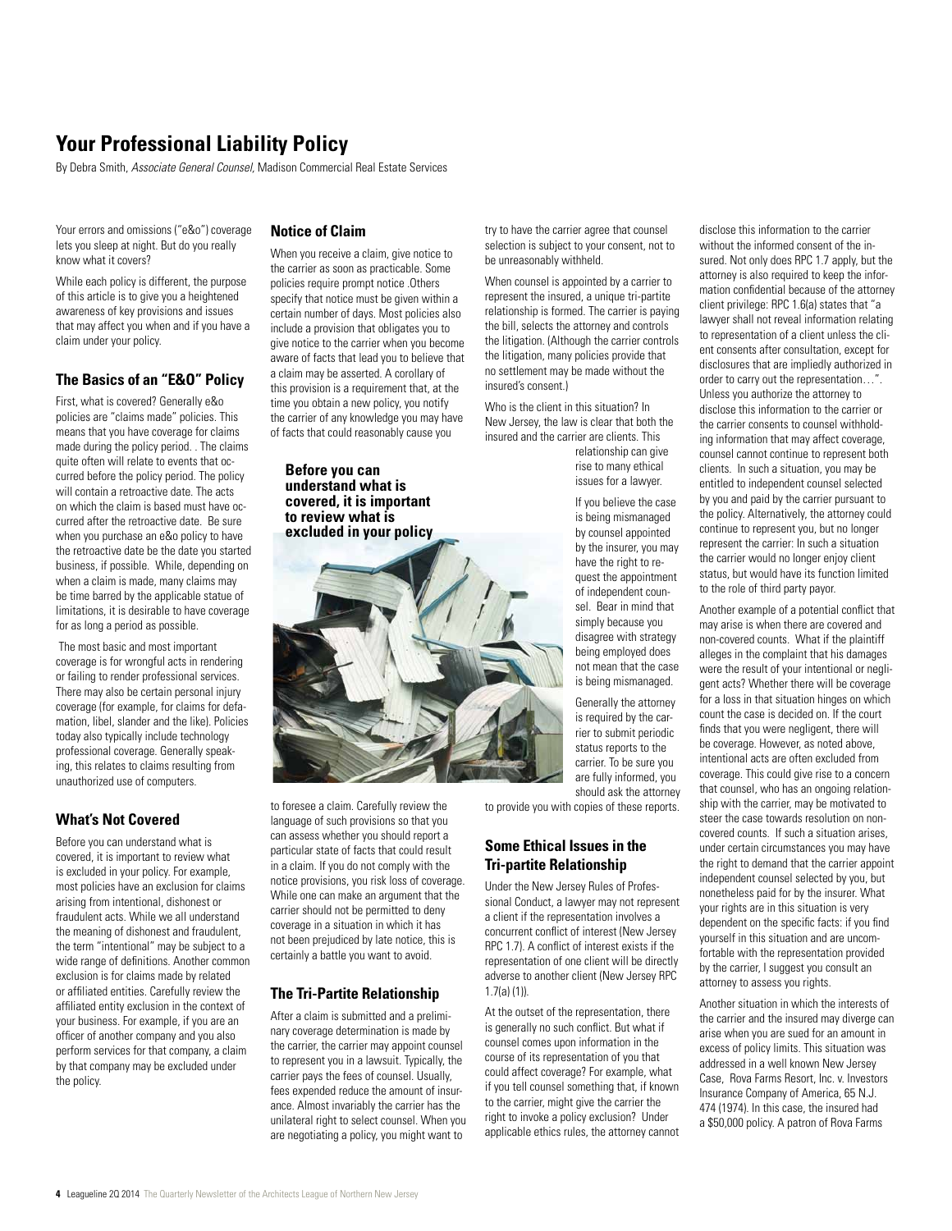# **Your Professional Liability Policy**

By Debra Smith, *Associate General Counsel,* Madison Commercial Real Estate Services

Your errors and omissions ("e&o") coverage lets you sleep at night. But do you really know what it covers?

While each policy is different, the purpose of this article is to give you a heightened awareness of key provisions and issues that may affect you when and if you have a claim under your policy.

#### **The Basics of an "E&O" Policy**

First, what is covered? Generally e&o policies are "claims made" policies. This means that you have coverage for claims made during the policy period. . The claims quite often will relate to events that occurred before the policy period. The policy will contain a retroactive date. The acts on which the claim is based must have occurred after the retroactive date. Be sure when you purchase an e&o policy to have the retroactive date be the date you started business, if possible. While, depending on when a claim is made, many claims may be time barred by the applicable statue of limitations, it is desirable to have coverage for as long a period as possible.

 The most basic and most important coverage is for wrongful acts in rendering or failing to render professional services. There may also be certain personal injury coverage (for example, for claims for defamation, libel, slander and the like). Policies today also typically include technology professional coverage. Generally speaking, this relates to claims resulting from unauthorized use of computers.

## **What's Not Covered**

Before you can understand what is covered, it is important to review what is excluded in your policy. For example, most policies have an exclusion for claims arising from intentional, dishonest or fraudulent acts. While we all understand the meaning of dishonest and fraudulent, the term "intentional" may be subject to a wide range of definitions. Another common exclusion is for claims made by related or affiliated entities. Carefully review the affiliated entity exclusion in the context of your business. For example, if you are an officer of another company and you also perform services for that company, a claim by that company may be excluded under the policy.

#### **Notice of Claim**

When you receive a claim, give notice to the carrier as soon as practicable. Some policies require prompt notice .Others specify that notice must be given within a certain number of days. Most policies also include a provision that obligates you to give notice to the carrier when you become aware of facts that lead you to believe that a claim may be asserted. A corollary of this provision is a requirement that, at the time you obtain a new policy, you notify the carrier of any knowledge you may have of facts that could reasonably cause you

**Before you can understand what is covered, it is important to review what is excluded in your policy**.

to foresee a claim. Carefully review the language of such provisions so that you can assess whether you should report a particular state of facts that could result in a claim. If you do not comply with the notice provisions, you risk loss of coverage. While one can make an argument that the carrier should not be permitted to deny coverage in a situation in which it has not been prejudiced by late notice, this is certainly a battle you want to avoid.

#### **The Tri-Partite Relationship**

After a claim is submitted and a preliminary coverage determination is made by the carrier, the carrier may appoint counsel to represent you in a lawsuit. Typically, the carrier pays the fees of counsel. Usually, fees expended reduce the amount of insurance. Almost invariably the carrier has the unilateral right to select counsel. When you are negotiating a policy, you might want to

try to have the carrier agree that counsel selection is subject to your consent, not to be unreasonably withheld.

When counsel is appointed by a carrier to represent the insured, a unique tri-partite relationship is formed. The carrier is paying the bill, selects the attorney and controls the litigation. (Although the carrier controls the litigation, many policies provide that no settlement may be made without the insured's consent.)

Who is the client in this situation? In New Jersey, the law is clear that both the insured and the carrier are clients. This

relationship can give rise to many ethical issues for a lawyer.

If you believe the case is being mismanaged by counsel appointed by the insurer, you may have the right to request the appointment of independent counsel. Bear in mind that simply because you disagree with strategy being employed does not mean that the case is being mismanaged.

Generally the attorney is required by the carrier to submit periodic status reports to the carrier. To be sure you are fully informed, you should ask the attorney

to provide you with copies of these reports.

#### **Some Ethical Issues in the Tri-partite Relationship**

Under the New Jersey Rules of Professional Conduct, a lawyer may not represent a client if the representation involves a concurrent conflict of interest (New Jersey RPC 1.7). A conflict of interest exists if the representation of one client will be directly adverse to another client (New Jersey RPC 1.7(a) (1)).

At the outset of the representation, there is generally no such conflict. But what if counsel comes upon information in the course of its representation of you that could affect coverage? For example, what if you tell counsel something that, if known to the carrier, might give the carrier the right to invoke a policy exclusion? Under applicable ethics rules, the attorney cannot

disclose this information to the carrier without the informed consent of the insured. Not only does RPC 1.7 apply, but the attorney is also required to keep the information confidential because of the attorney client privilege: RPC 1.6(a) states that "a lawyer shall not reveal information relating to representation of a client unless the client consents after consultation, except for disclosures that are impliedly authorized in order to carry out the representation…". Unless you authorize the attorney to disclose this information to the carrier or the carrier consents to counsel withholding information that may affect coverage, counsel cannot continue to represent both clients. In such a situation, you may be entitled to independent counsel selected by you and paid by the carrier pursuant to the policy. Alternatively, the attorney could continue to represent you, but no longer represent the carrier: In such a situation the carrier would no longer enjoy client status, but would have its function limited to the role of third party payor.

Another example of a potential conflict that may arise is when there are covered and non-covered counts. What if the plaintiff alleges in the complaint that his damages were the result of your intentional or negligent acts? Whether there will be coverage for a loss in that situation hinges on which count the case is decided on. If the court finds that you were negligent, there will be coverage. However, as noted above intentional acts are often excluded from coverage. This could give rise to a concern that counsel, who has an ongoing relationship with the carrier, may be motivated to steer the case towards resolution on noncovered counts. If such a situation arises, under certain circumstances you may have the right to demand that the carrier appoint independent counsel selected by you, but nonetheless paid for by the insurer. What your rights are in this situation is very dependent on the specific facts: if you find yourself in this situation and are uncomfortable with the representation provided by the carrier, I suggest you consult an attorney to assess you rights.

Another situation in which the interests of the carrier and the insured may diverge can arise when you are sued for an amount in excess of policy limits. This situation was addressed in a well known New Jersey Case, Rova Farms Resort, Inc. v. Investors Insurance Company of America, 65 N.J. 474 (1974). In this case, the insured had a \$50,000 policy. A patron of Rova Farms